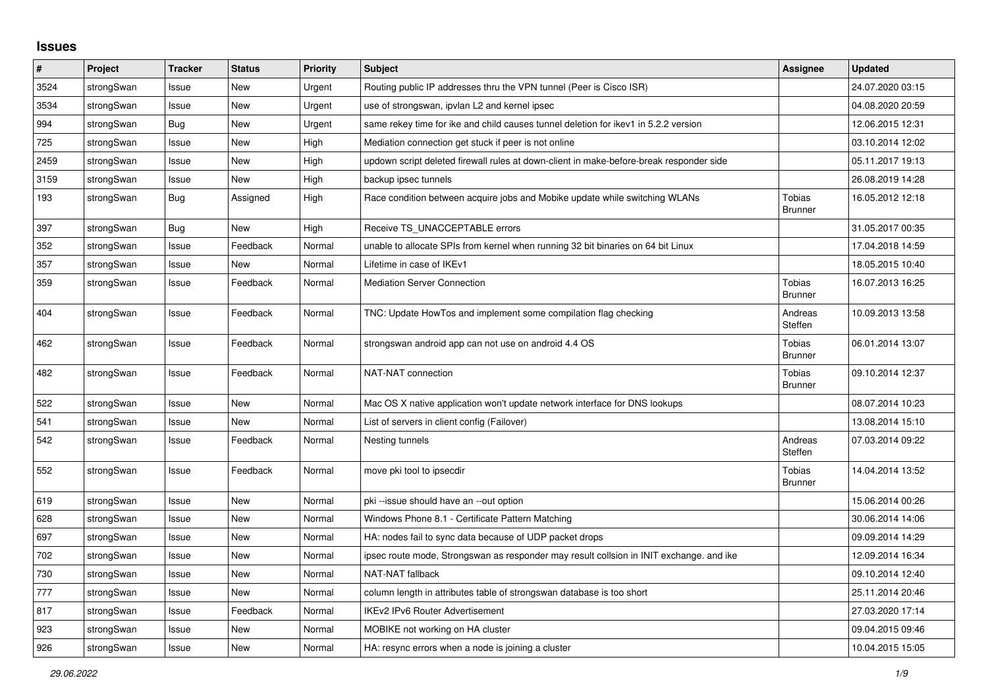## **Issues**

| #    | Project    | <b>Tracker</b> | <b>Status</b> | Priority | <b>Subject</b>                                                                          | <b>Assignee</b>                 | <b>Updated</b>   |
|------|------------|----------------|---------------|----------|-----------------------------------------------------------------------------------------|---------------------------------|------------------|
| 3524 | strongSwan | Issue          | <b>New</b>    | Urgent   | Routing public IP addresses thru the VPN tunnel (Peer is Cisco ISR)                     |                                 | 24.07.2020 03:15 |
| 3534 | strongSwan | Issue          | <b>New</b>    | Urgent   | use of strongswan, ipvlan L2 and kernel ipsec                                           |                                 | 04.08.2020 20:59 |
| 994  | strongSwan | Bug            | <b>New</b>    | Urgent   | same rekey time for ike and child causes tunnel deletion for ikev1 in 5.2.2 version     |                                 | 12.06.2015 12:31 |
| 725  | strongSwan | Issue          | New           | High     | Mediation connection get stuck if peer is not online                                    |                                 | 03.10.2014 12:02 |
| 2459 | strongSwan | Issue          | <b>New</b>    | High     | updown script deleted firewall rules at down-client in make-before-break responder side |                                 | 05.11.2017 19:13 |
| 3159 | strongSwan | Issue          | New           | High     | backup ipsec tunnels                                                                    |                                 | 26.08.2019 14:28 |
| 193  | strongSwan | Bug            | Assigned      | High     | Race condition between acquire jobs and Mobike update while switching WLANs             | <b>Tobias</b><br><b>Brunner</b> | 16.05.2012 12:18 |
| 397  | strongSwan | Bug            | New           | High     | Receive TS_UNACCEPTABLE errors                                                          |                                 | 31.05.2017 00:35 |
| 352  | strongSwan | Issue          | Feedback      | Normal   | unable to allocate SPIs from kernel when running 32 bit binaries on 64 bit Linux        |                                 | 17.04.2018 14:59 |
| 357  | strongSwan | Issue          | New           | Normal   | Lifetime in case of IKEv1                                                               |                                 | 18.05.2015 10:40 |
| 359  | strongSwan | Issue          | Feedback      | Normal   | <b>Mediation Server Connection</b>                                                      | Tobias<br><b>Brunner</b>        | 16.07.2013 16:25 |
| 404  | strongSwan | Issue          | Feedback      | Normal   | TNC: Update HowTos and implement some compilation flag checking                         | Andreas<br>Steffen              | 10.09.2013 13:58 |
| 462  | strongSwan | Issue          | Feedback      | Normal   | strongswan android app can not use on android 4.4 OS                                    | Tobias<br><b>Brunner</b>        | 06.01.2014 13:07 |
| 482  | strongSwan | Issue          | Feedback      | Normal   | NAT-NAT connection                                                                      | Tobias<br><b>Brunner</b>        | 09.10.2014 12:37 |
| 522  | strongSwan | Issue          | <b>New</b>    | Normal   | Mac OS X native application won't update network interface for DNS lookups              |                                 | 08.07.2014 10:23 |
| 541  | strongSwan | Issue          | <b>New</b>    | Normal   | List of servers in client config (Failover)                                             |                                 | 13.08.2014 15:10 |
| 542  | strongSwan | Issue          | Feedback      | Normal   | Nesting tunnels                                                                         | Andreas<br>Steffen              | 07.03.2014 09:22 |
| 552  | strongSwan | Issue          | Feedback      | Normal   | move pki tool to ipsecdir                                                               | <b>Tobias</b><br><b>Brunner</b> | 14.04.2014 13:52 |
| 619  | strongSwan | Issue          | New           | Normal   | pki-issue should have an --out option                                                   |                                 | 15.06.2014 00:26 |
| 628  | strongSwan | Issue          | <b>New</b>    | Normal   | Windows Phone 8.1 - Certificate Pattern Matching                                        |                                 | 30.06.2014 14:06 |
| 697  | strongSwan | Issue          | <b>New</b>    | Normal   | HA: nodes fail to sync data because of UDP packet drops                                 |                                 | 09.09.2014 14:29 |
| 702  | strongSwan | Issue          | <b>New</b>    | Normal   | ipsec route mode, Strongswan as responder may result collsion in INIT exchange. and ike |                                 | 12.09.2014 16:34 |
| 730  | strongSwan | Issue          | <b>New</b>    | Normal   | NAT-NAT fallback                                                                        |                                 | 09.10.2014 12:40 |
| 777  | strongSwan | Issue          | New           | Normal   | column length in attributes table of strongswan database is too short                   |                                 | 25.11.2014 20:46 |
| 817  | strongSwan | Issue          | Feedback      | Normal   | <b>IKEv2 IPv6 Router Advertisement</b>                                                  |                                 | 27.03.2020 17:14 |
| 923  | strongSwan | Issue          | New           | Normal   | MOBIKE not working on HA cluster                                                        |                                 | 09.04.2015 09:46 |
| 926  | strongSwan | Issue          | New           | Normal   | HA: resync errors when a node is joining a cluster                                      |                                 | 10.04.2015 15:05 |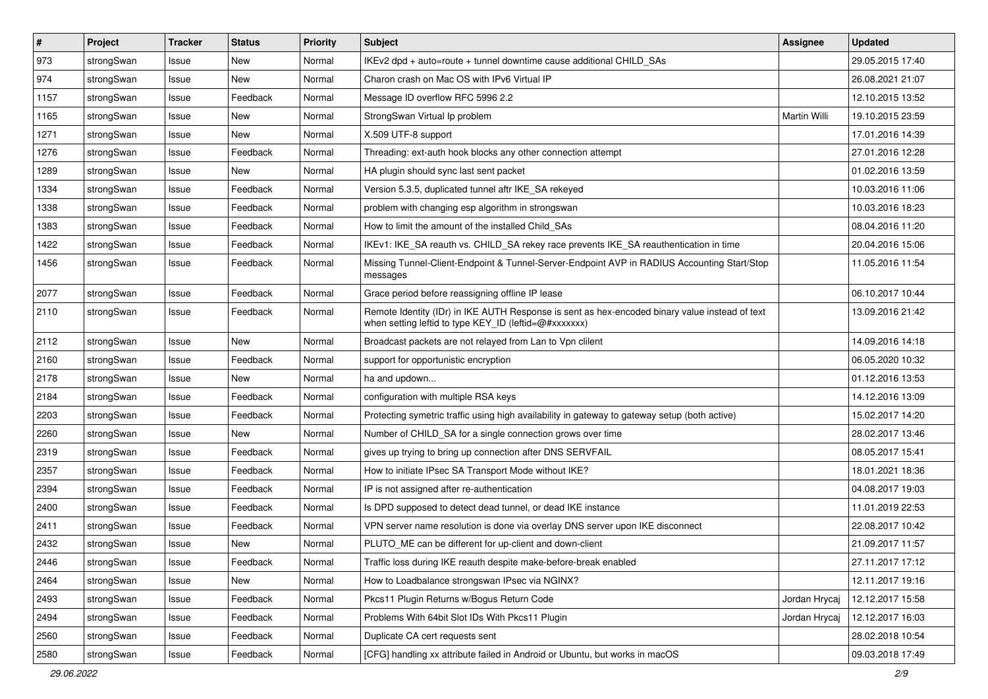| $\sharp$ | Project    | <b>Tracker</b> | <b>Status</b> | <b>Priority</b> | <b>Subject</b>                                                                                                                                          | Assignee      | <b>Updated</b>   |
|----------|------------|----------------|---------------|-----------------|---------------------------------------------------------------------------------------------------------------------------------------------------------|---------------|------------------|
| 973      | strongSwan | Issue          | New           | Normal          | IKEv2 dpd + auto=route + tunnel downtime cause additional CHILD_SAs                                                                                     |               | 29.05.2015 17:40 |
| 974      | strongSwan | Issue          | <b>New</b>    | Normal          | Charon crash on Mac OS with IPv6 Virtual IP                                                                                                             |               | 26.08.2021 21:07 |
| 1157     | strongSwan | Issue          | Feedback      | Normal          | Message ID overflow RFC 5996 2.2                                                                                                                        |               | 12.10.2015 13:52 |
| 1165     | strongSwan | Issue          | New           | Normal          | StrongSwan Virtual Ip problem                                                                                                                           | Martin Willi  | 19.10.2015 23:59 |
| 1271     | strongSwan | Issue          | <b>New</b>    | Normal          | X.509 UTF-8 support                                                                                                                                     |               | 17.01.2016 14:39 |
| 1276     | strongSwan | Issue          | Feedback      | Normal          | Threading: ext-auth hook blocks any other connection attempt                                                                                            |               | 27.01.2016 12:28 |
| 1289     | strongSwan | Issue          | New           | Normal          | HA plugin should sync last sent packet                                                                                                                  |               | 01.02.2016 13:59 |
| 1334     | strongSwan | Issue          | Feedback      | Normal          | Version 5.3.5, duplicated tunnel aftr IKE SA rekeyed                                                                                                    |               | 10.03.2016 11:06 |
| 1338     | strongSwan | Issue          | Feedback      | Normal          | problem with changing esp algorithm in strongswan                                                                                                       |               | 10.03.2016 18:23 |
| 1383     | strongSwan | Issue          | Feedback      | Normal          | How to limit the amount of the installed Child_SAs                                                                                                      |               | 08.04.2016 11:20 |
| 1422     | strongSwan | Issue          | Feedback      | Normal          | IKEv1: IKE_SA reauth vs. CHILD_SA rekey race prevents IKE_SA reauthentication in time                                                                   |               | 20.04.2016 15:06 |
| 1456     | strongSwan | Issue          | Feedback      | Normal          | Missing Tunnel-Client-Endpoint & Tunnel-Server-Endpoint AVP in RADIUS Accounting Start/Stop<br>messages                                                 |               | 11.05.2016 11:54 |
| 2077     | strongSwan | Issue          | Feedback      | Normal          | Grace period before reassigning offline IP lease                                                                                                        |               | 06.10.2017 10:44 |
| 2110     | strongSwan | Issue          | Feedback      | Normal          | Remote Identity (IDr) in IKE AUTH Response is sent as hex-encoded binary value instead of text<br>when setting leftid to type KEY_ID (leftid=@#xxxxxxx) |               | 13.09.2016 21:42 |
| 2112     | strongSwan | Issue          | <b>New</b>    | Normal          | Broadcast packets are not relayed from Lan to Vpn clilent                                                                                               |               | 14.09.2016 14:18 |
| 2160     | strongSwan | Issue          | Feedback      | Normal          | support for opportunistic encryption                                                                                                                    |               | 06.05.2020 10:32 |
| 2178     | strongSwan | Issue          | New           | Normal          | ha and updown                                                                                                                                           |               | 01.12.2016 13:53 |
| 2184     | strongSwan | Issue          | Feedback      | Normal          | configuration with multiple RSA keys                                                                                                                    |               | 14.12.2016 13:09 |
| 2203     | strongSwan | Issue          | Feedback      | Normal          | Protecting symetric traffic using high availability in gateway to gateway setup (both active)                                                           |               | 15.02.2017 14:20 |
| 2260     | strongSwan | Issue          | New           | Normal          | Number of CHILD_SA for a single connection grows over time                                                                                              |               | 28.02.2017 13:46 |
| 2319     | strongSwan | Issue          | Feedback      | Normal          | gives up trying to bring up connection after DNS SERVFAIL                                                                                               |               | 08.05.2017 15:41 |
| 2357     | strongSwan | Issue          | Feedback      | Normal          | How to initiate IPsec SA Transport Mode without IKE?                                                                                                    |               | 18.01.2021 18:36 |
| 2394     | strongSwan | Issue          | Feedback      | Normal          | IP is not assigned after re-authentication                                                                                                              |               | 04.08.2017 19:03 |
| 2400     | strongSwan | Issue          | Feedback      | Normal          | Is DPD supposed to detect dead tunnel, or dead IKE instance                                                                                             |               | 11.01.2019 22:53 |
| 2411     | strongSwan | Issue          | Feedback      | Normal          | VPN server name resolution is done via overlay DNS server upon IKE disconnect                                                                           |               | 22.08.2017 10:42 |
| 2432     | strongSwan | Issue          | New           | Normal          | PLUTO_ME can be different for up-client and down-client                                                                                                 |               | 21.09.2017 11:57 |
| 2446     | strongSwan | Issue          | Feedback      | Normal          | Traffic loss during IKE reauth despite make-before-break enabled                                                                                        |               | 27.11.2017 17:12 |
| 2464     | strongSwan | Issue          | New           | Normal          | How to Loadbalance strongswan IPsec via NGINX?                                                                                                          |               | 12.11.2017 19:16 |
| 2493     | strongSwan | Issue          | Feedback      | Normal          | Pkcs11 Plugin Returns w/Bogus Return Code                                                                                                               | Jordan Hrycaj | 12.12.2017 15:58 |
| 2494     | strongSwan | Issue          | Feedback      | Normal          | Problems With 64bit Slot IDs With Pkcs11 Plugin                                                                                                         | Jordan Hrycaj | 12.12.2017 16:03 |
| 2560     | strongSwan | Issue          | Feedback      | Normal          | Duplicate CA cert requests sent                                                                                                                         |               | 28.02.2018 10:54 |
| 2580     | strongSwan | Issue          | Feedback      | Normal          | [CFG] handling xx attribute failed in Android or Ubuntu, but works in macOS                                                                             |               | 09.03.2018 17:49 |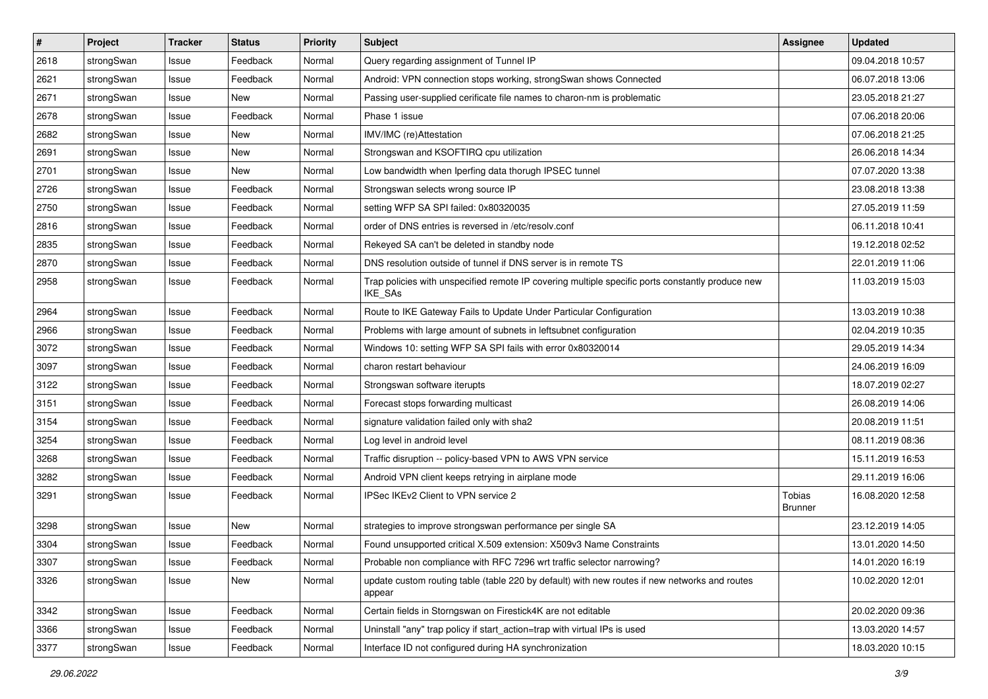| $\pmb{\#}$ | Project    | <b>Tracker</b> | <b>Status</b> | <b>Priority</b> | <b>Subject</b>                                                                                                     | <b>Assignee</b>                 | <b>Updated</b>   |
|------------|------------|----------------|---------------|-----------------|--------------------------------------------------------------------------------------------------------------------|---------------------------------|------------------|
| 2618       | strongSwan | Issue          | Feedback      | Normal          | Query regarding assignment of Tunnel IP                                                                            |                                 | 09.04.2018 10:57 |
| 2621       | strongSwan | Issue          | Feedback      | Normal          | Android: VPN connection stops working, strongSwan shows Connected                                                  |                                 | 06.07.2018 13:06 |
| 2671       | strongSwan | Issue          | New           | Normal          | Passing user-supplied cerificate file names to charon-nm is problematic                                            |                                 | 23.05.2018 21:27 |
| 2678       | strongSwan | Issue          | Feedback      | Normal          | Phase 1 issue                                                                                                      |                                 | 07.06.2018 20:06 |
| 2682       | strongSwan | Issue          | New           | Normal          | IMV/IMC (re)Attestation                                                                                            |                                 | 07.06.2018 21:25 |
| 2691       | strongSwan | Issue          | New           | Normal          | Strongswan and KSOFTIRQ cpu utilization                                                                            |                                 | 26.06.2018 14:34 |
| 2701       | strongSwan | Issue          | New           | Normal          | Low bandwidth when Iperfing data thorugh IPSEC tunnel                                                              |                                 | 07.07.2020 13:38 |
| 2726       | strongSwan | Issue          | Feedback      | Normal          | Strongswan selects wrong source IP                                                                                 |                                 | 23.08.2018 13:38 |
| 2750       | strongSwan | Issue          | Feedback      | Normal          | setting WFP SA SPI failed: 0x80320035                                                                              |                                 | 27.05.2019 11:59 |
| 2816       | strongSwan | Issue          | Feedback      | Normal          | order of DNS entries is reversed in /etc/resolv.conf                                                               |                                 | 06.11.2018 10:41 |
| 2835       | strongSwan | Issue          | Feedback      | Normal          | Rekeyed SA can't be deleted in standby node                                                                        |                                 | 19.12.2018 02:52 |
| 2870       | strongSwan | Issue          | Feedback      | Normal          | DNS resolution outside of tunnel if DNS server is in remote TS                                                     |                                 | 22.01.2019 11:06 |
| 2958       | strongSwan | Issue          | Feedback      | Normal          | Trap policies with unspecified remote IP covering multiple specific ports constantly produce new<br><b>IKE SAs</b> |                                 | 11.03.2019 15:03 |
| 2964       | strongSwan | Issue          | Feedback      | Normal          | Route to IKE Gateway Fails to Update Under Particular Configuration                                                |                                 | 13.03.2019 10:38 |
| 2966       | strongSwan | Issue          | Feedback      | Normal          | Problems with large amount of subnets in leftsubnet configuration                                                  |                                 | 02.04.2019 10:35 |
| 3072       | strongSwan | Issue          | Feedback      | Normal          | Windows 10: setting WFP SA SPI fails with error 0x80320014                                                         |                                 | 29.05.2019 14:34 |
| 3097       | strongSwan | Issue          | Feedback      | Normal          | charon restart behaviour                                                                                           |                                 | 24.06.2019 16:09 |
| 3122       | strongSwan | Issue          | Feedback      | Normal          | Strongswan software iterupts                                                                                       |                                 | 18.07.2019 02:27 |
| 3151       | strongSwan | Issue          | Feedback      | Normal          | Forecast stops forwarding multicast                                                                                |                                 | 26.08.2019 14:06 |
| 3154       | strongSwan | Issue          | Feedback      | Normal          | signature validation failed only with sha2                                                                         |                                 | 20.08.2019 11:51 |
| 3254       | strongSwan | Issue          | Feedback      | Normal          | Log level in android level                                                                                         |                                 | 08.11.2019 08:36 |
| 3268       | strongSwan | Issue          | Feedback      | Normal          | Traffic disruption -- policy-based VPN to AWS VPN service                                                          |                                 | 15.11.2019 16:53 |
| 3282       | strongSwan | Issue          | Feedback      | Normal          | Android VPN client keeps retrying in airplane mode                                                                 |                                 | 29.11.2019 16:06 |
| 3291       | strongSwan | Issue          | Feedback      | Normal          | IPSec IKEv2 Client to VPN service 2                                                                                | <b>Tobias</b><br><b>Brunner</b> | 16.08.2020 12:58 |
| 3298       | strongSwan | Issue          | <b>New</b>    | Normal          | strategies to improve strongswan performance per single SA                                                         |                                 | 23.12.2019 14:05 |
| 3304       | strongSwan | Issue          | Feedback      | Normal          | Found unsupported critical X.509 extension: X509v3 Name Constraints                                                |                                 | 13.01.2020 14:50 |
| 3307       | strongSwan | Issue          | Feedback      | Normal          | Probable non compliance with RFC 7296 wrt traffic selector narrowing?                                              |                                 | 14.01.2020 16:19 |
| 3326       | strongSwan | Issue          | New           | Normal          | update custom routing table (table 220 by default) with new routes if new networks and routes<br>appear            |                                 | 10.02.2020 12:01 |
| 3342       | strongSwan | Issue          | Feedback      | Normal          | Certain fields in Storngswan on Firestick4K are not editable                                                       |                                 | 20.02.2020 09:36 |
| 3366       | strongSwan | Issue          | Feedback      | Normal          | Uninstall "any" trap policy if start action=trap with virtual IPs is used                                          |                                 | 13.03.2020 14:57 |
| 3377       | strongSwan | Issue          | Feedback      | Normal          | Interface ID not configured during HA synchronization                                                              |                                 | 18.03.2020 10:15 |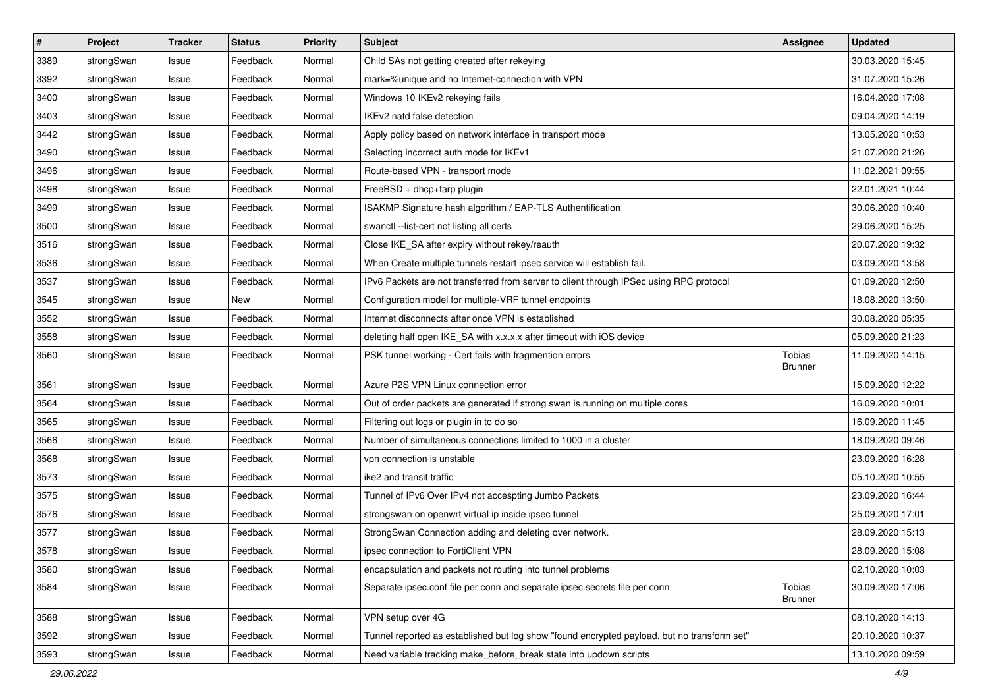| $\pmb{\#}$ | Project    | <b>Tracker</b> | <b>Status</b> | <b>Priority</b> | <b>Subject</b>                                                                              | Assignee                 | <b>Updated</b>   |
|------------|------------|----------------|---------------|-----------------|---------------------------------------------------------------------------------------------|--------------------------|------------------|
| 3389       | strongSwan | Issue          | Feedback      | Normal          | Child SAs not getting created after rekeying                                                |                          | 30.03.2020 15:45 |
| 3392       | strongSwan | Issue          | Feedback      | Normal          | mark=%unique and no Internet-connection with VPN                                            |                          | 31.07.2020 15:26 |
| 3400       | strongSwan | Issue          | Feedback      | Normal          | Windows 10 IKEv2 rekeying fails                                                             |                          | 16.04.2020 17:08 |
| 3403       | strongSwan | Issue          | Feedback      | Normal          | IKEv2 natd false detection                                                                  |                          | 09.04.2020 14:19 |
| 3442       | strongSwan | Issue          | Feedback      | Normal          | Apply policy based on network interface in transport mode                                   |                          | 13.05.2020 10:53 |
| 3490       | strongSwan | Issue          | Feedback      | Normal          | Selecting incorrect auth mode for IKEv1                                                     |                          | 21.07.2020 21:26 |
| 3496       | strongSwan | Issue          | Feedback      | Normal          | Route-based VPN - transport mode                                                            |                          | 11.02.2021 09:55 |
| 3498       | strongSwan | Issue          | Feedback      | Normal          | FreeBSD + dhcp+farp plugin                                                                  |                          | 22.01.2021 10:44 |
| 3499       | strongSwan | Issue          | Feedback      | Normal          | ISAKMP Signature hash algorithm / EAP-TLS Authentification                                  |                          | 30.06.2020 10:40 |
| 3500       | strongSwan | Issue          | Feedback      | Normal          | swanctl --list-cert not listing all certs                                                   |                          | 29.06.2020 15:25 |
| 3516       | strongSwan | Issue          | Feedback      | Normal          | Close IKE_SA after expiry without rekey/reauth                                              |                          | 20.07.2020 19:32 |
| 3536       | strongSwan | Issue          | Feedback      | Normal          | When Create multiple tunnels restart ipsec service will establish fail.                     |                          | 03.09.2020 13:58 |
| 3537       | strongSwan | Issue          | Feedback      | Normal          | IPv6 Packets are not transferred from server to client through IPSec using RPC protocol     |                          | 01.09.2020 12:50 |
| 3545       | strongSwan | lssue          | <b>New</b>    | Normal          | Configuration model for multiple-VRF tunnel endpoints                                       |                          | 18.08.2020 13:50 |
| 3552       | strongSwan | Issue          | Feedback      | Normal          | Internet disconnects after once VPN is established                                          |                          | 30.08.2020 05:35 |
| 3558       | strongSwan | Issue          | Feedback      | Normal          | deleting half open IKE_SA with x.x.x.x after timeout with iOS device                        |                          | 05.09.2020 21:23 |
| 3560       | strongSwan | Issue          | Feedback      | Normal          | PSK tunnel working - Cert fails with fragmention errors                                     | Tobias<br><b>Brunner</b> | 11.09.2020 14:15 |
| 3561       | strongSwan | Issue          | Feedback      | Normal          | Azure P2S VPN Linux connection error                                                        |                          | 15.09.2020 12:22 |
| 3564       | strongSwan | Issue          | Feedback      | Normal          | Out of order packets are generated if strong swan is running on multiple cores              |                          | 16.09.2020 10:01 |
| 3565       | strongSwan | Issue          | Feedback      | Normal          | Filtering out logs or plugin in to do so                                                    |                          | 16.09.2020 11:45 |
| 3566       | strongSwan | lssue          | Feedback      | Normal          | Number of simultaneous connections limited to 1000 in a cluster                             |                          | 18.09.2020 09:46 |
| 3568       | strongSwan | Issue          | Feedback      | Normal          | vpn connection is unstable                                                                  |                          | 23.09.2020 16:28 |
| 3573       | strongSwan | Issue          | Feedback      | Normal          | ike2 and transit traffic                                                                    |                          | 05.10.2020 10:55 |
| 3575       | strongSwan | Issue          | Feedback      | Normal          | Tunnel of IPv6 Over IPv4 not accespting Jumbo Packets                                       |                          | 23.09.2020 16:44 |
| 3576       | strongSwan | Issue          | Feedback      | Normal          | strongswan on openwrt virtual ip inside ipsec tunnel                                        |                          | 25.09.2020 17:01 |
| 3577       | strongSwan | Issue          | Feedback      | Normal          | StrongSwan Connection adding and deleting over network.                                     |                          | 28.09.2020 15:13 |
| 3578       | strongSwan | Issue          | Feedback      | Normal          | ipsec connection to FortiClient VPN                                                         |                          | 28.09.2020 15:08 |
| 3580       | strongSwan | Issue          | Feedback      | Normal          | encapsulation and packets not routing into tunnel problems                                  |                          | 02.10.2020 10:03 |
| 3584       | strongSwan | Issue          | Feedback      | Normal          | Separate ipsec.conf file per conn and separate ipsec.secrets file per conn                  | Tobias<br><b>Brunner</b> | 30.09.2020 17:06 |
| 3588       | strongSwan | Issue          | Feedback      | Normal          | VPN setup over 4G                                                                           |                          | 08.10.2020 14:13 |
| 3592       | strongSwan | Issue          | Feedback      | Normal          | Tunnel reported as established but log show "found encrypted payload, but no transform set" |                          | 20.10.2020 10:37 |
| 3593       | strongSwan | Issue          | Feedback      | Normal          | Need variable tracking make_before_break state into updown scripts                          |                          | 13.10.2020 09:59 |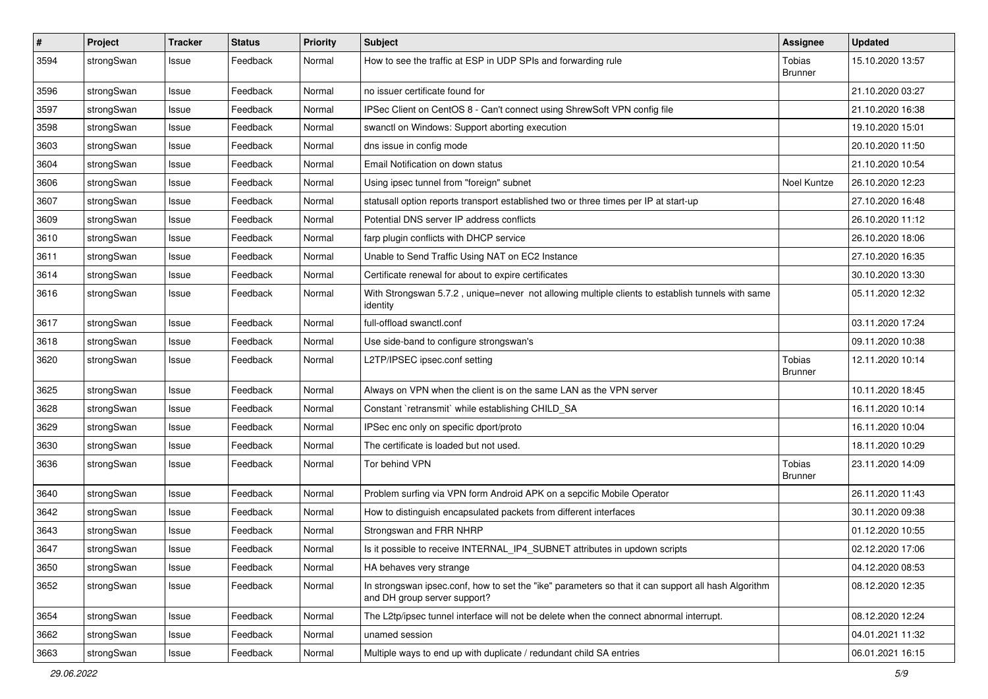| $\sharp$ | Project    | <b>Tracker</b> | <b>Status</b> | <b>Priority</b> | <b>Subject</b>                                                                                                                      | <b>Assignee</b>          | <b>Updated</b>   |
|----------|------------|----------------|---------------|-----------------|-------------------------------------------------------------------------------------------------------------------------------------|--------------------------|------------------|
| 3594     | strongSwan | Issue          | Feedback      | Normal          | How to see the traffic at ESP in UDP SPIs and forwarding rule                                                                       | Tobias<br><b>Brunner</b> | 15.10.2020 13:57 |
| 3596     | strongSwan | Issue          | Feedback      | Normal          | no issuer certificate found for                                                                                                     |                          | 21.10.2020 03:27 |
| 3597     | strongSwan | Issue          | Feedback      | Normal          | IPSec Client on CentOS 8 - Can't connect using ShrewSoft VPN config file                                                            |                          | 21.10.2020 16:38 |
| 3598     | strongSwan | Issue          | Feedback      | Normal          | swanctl on Windows: Support aborting execution                                                                                      |                          | 19.10.2020 15:01 |
| 3603     | strongSwan | Issue          | Feedback      | Normal          | dns issue in config mode                                                                                                            |                          | 20.10.2020 11:50 |
| 3604     | strongSwan | Issue          | Feedback      | Normal          | Email Notification on down status                                                                                                   |                          | 21.10.2020 10:54 |
| 3606     | strongSwan | Issue          | Feedback      | Normal          | Using ipsec tunnel from "foreign" subnet                                                                                            | Noel Kuntze              | 26.10.2020 12:23 |
| 3607     | strongSwan | Issue          | Feedback      | Normal          | statusall option reports transport established two or three times per IP at start-up                                                |                          | 27.10.2020 16:48 |
| 3609     | strongSwan | Issue          | Feedback      | Normal          | Potential DNS server IP address conflicts                                                                                           |                          | 26.10.2020 11:12 |
| 3610     | strongSwan | Issue          | Feedback      | Normal          | farp plugin conflicts with DHCP service                                                                                             |                          | 26.10.2020 18:06 |
| 3611     | strongSwan | Issue          | Feedback      | Normal          | Unable to Send Traffic Using NAT on EC2 Instance                                                                                    |                          | 27.10.2020 16:35 |
| 3614     | strongSwan | Issue          | Feedback      | Normal          | Certificate renewal for about to expire certificates                                                                                |                          | 30.10.2020 13:30 |
| 3616     | strongSwan | Issue          | Feedback      | Normal          | With Strongswan 5.7.2, unique=never not allowing multiple clients to establish tunnels with same<br>identity                        |                          | 05.11.2020 12:32 |
| 3617     | strongSwan | Issue          | Feedback      | Normal          | full-offload swanctl.conf                                                                                                           |                          | 03.11.2020 17:24 |
| 3618     | strongSwan | Issue          | Feedback      | Normal          | Use side-band to configure strongswan's                                                                                             |                          | 09.11.2020 10:38 |
| 3620     | strongSwan | Issue          | Feedback      | Normal          | L2TP/IPSEC ipsec.conf setting                                                                                                       | Tobias<br><b>Brunner</b> | 12.11.2020 10:14 |
| 3625     | strongSwan | Issue          | Feedback      | Normal          | Always on VPN when the client is on the same LAN as the VPN server                                                                  |                          | 10.11.2020 18:45 |
| 3628     | strongSwan | Issue          | Feedback      | Normal          | Constant `retransmit` while establishing CHILD_SA                                                                                   |                          | 16.11.2020 10:14 |
| 3629     | strongSwan | Issue          | Feedback      | Normal          | IPSec enc only on specific dport/proto                                                                                              |                          | 16.11.2020 10:04 |
| 3630     | strongSwan | Issue          | Feedback      | Normal          | The certificate is loaded but not used.                                                                                             |                          | 18.11.2020 10:29 |
| 3636     | strongSwan | Issue          | Feedback      | Normal          | Tor behind VPN                                                                                                                      | Tobias<br><b>Brunner</b> | 23.11.2020 14:09 |
| 3640     | strongSwan | Issue          | Feedback      | Normal          | Problem surfing via VPN form Android APK on a sepcific Mobile Operator                                                              |                          | 26.11.2020 11:43 |
| 3642     | strongSwan | Issue          | Feedback      | Normal          | How to distinguish encapsulated packets from different interfaces                                                                   |                          | 30.11.2020 09:38 |
| 3643     | strongSwan | Issue          | Feedback      | Normal          | Strongswan and FRR NHRP                                                                                                             |                          | 01.12.2020 10:55 |
| 3647     | strongSwan | Issue          | Feedback      | Normal          | Is it possible to receive INTERNAL IP4 SUBNET attributes in updown scripts                                                          |                          | 02.12.2020 17:06 |
| 3650     | strongSwan | Issue          | Feedback      | Normal          | HA behaves very strange                                                                                                             |                          | 04.12.2020 08:53 |
| 3652     | strongSwan | Issue          | Feedback      | Normal          | In strongswan ipsec.conf, how to set the "ike" parameters so that it can support all hash Algorithm<br>and DH group server support? |                          | 08.12.2020 12:35 |
| 3654     | strongSwan | Issue          | Feedback      | Normal          | The L2tp/ipsec tunnel interface will not be delete when the connect abnormal interrupt.                                             |                          | 08.12.2020 12:24 |
| 3662     | strongSwan | Issue          | Feedback      | Normal          | unamed session                                                                                                                      |                          | 04.01.2021 11:32 |
| 3663     | strongSwan | Issue          | Feedback      | Normal          | Multiple ways to end up with duplicate / redundant child SA entries                                                                 |                          | 06.01.2021 16:15 |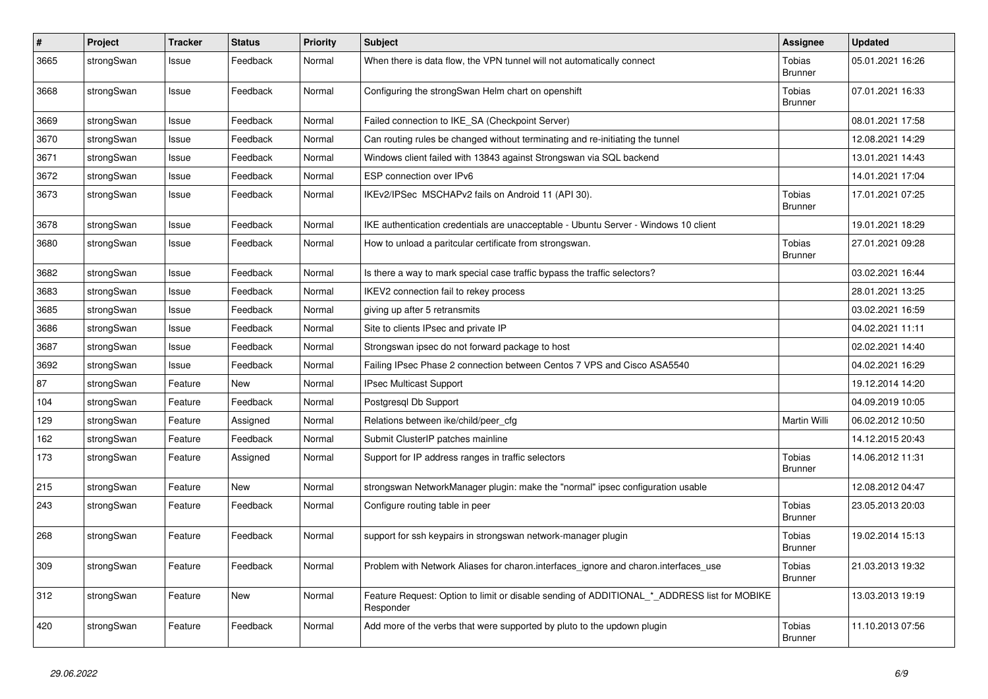| $\vert$ # | Project    | <b>Tracker</b> | <b>Status</b> | <b>Priority</b> | <b>Subject</b>                                                                                           | <b>Assignee</b>                 | <b>Updated</b>   |
|-----------|------------|----------------|---------------|-----------------|----------------------------------------------------------------------------------------------------------|---------------------------------|------------------|
| 3665      | strongSwan | Issue          | Feedback      | Normal          | When there is data flow, the VPN tunnel will not automatically connect                                   | <b>Tobias</b><br><b>Brunner</b> | 05.01.2021 16:26 |
| 3668      | strongSwan | Issue          | Feedback      | Normal          | Configuring the strongSwan Helm chart on openshift                                                       | <b>Tobias</b><br><b>Brunner</b> | 07.01.2021 16:33 |
| 3669      | strongSwan | Issue          | Feedback      | Normal          | Failed connection to IKE_SA (Checkpoint Server)                                                          |                                 | 08.01.2021 17:58 |
| 3670      | strongSwan | Issue          | Feedback      | Normal          | Can routing rules be changed without terminating and re-initiating the tunnel                            |                                 | 12.08.2021 14:29 |
| 3671      | strongSwan | Issue          | Feedback      | Normal          | Windows client failed with 13843 against Strongswan via SQL backend                                      |                                 | 13.01.2021 14:43 |
| 3672      | strongSwan | Issue          | Feedback      | Normal          | ESP connection over IPv6                                                                                 |                                 | 14.01.2021 17:04 |
| 3673      | strongSwan | Issue          | Feedback      | Normal          | IKEv2/IPSec MSCHAPv2 fails on Android 11 (API 30).                                                       | <b>Tobias</b><br><b>Brunner</b> | 17.01.2021 07:25 |
| 3678      | strongSwan | Issue          | Feedback      | Normal          | IKE authentication credentials are unacceptable - Ubuntu Server - Windows 10 client                      |                                 | 19.01.2021 18:29 |
| 3680      | strongSwan | Issue          | Feedback      | Normal          | How to unload a paritcular certificate from strongswan.                                                  | <b>Tobias</b><br><b>Brunner</b> | 27.01.2021 09:28 |
| 3682      | strongSwan | Issue          | Feedback      | Normal          | Is there a way to mark special case traffic bypass the traffic selectors?                                |                                 | 03.02.2021 16:44 |
| 3683      | strongSwan | Issue          | Feedback      | Normal          | IKEV2 connection fail to rekey process                                                                   |                                 | 28.01.2021 13:25 |
| 3685      | strongSwan | Issue          | Feedback      | Normal          | giving up after 5 retransmits                                                                            |                                 | 03.02.2021 16:59 |
| 3686      | strongSwan | Issue          | Feedback      | Normal          | Site to clients IPsec and private IP                                                                     |                                 | 04.02.2021 11:11 |
| 3687      | strongSwan | Issue          | Feedback      | Normal          | Strongswan ipsec do not forward package to host                                                          |                                 | 02.02.2021 14:40 |
| 3692      | strongSwan | Issue          | Feedback      | Normal          | Failing IPsec Phase 2 connection between Centos 7 VPS and Cisco ASA5540                                  |                                 | 04.02.2021 16:29 |
| 87        | strongSwan | Feature        | New           | Normal          | <b>IPsec Multicast Support</b>                                                                           |                                 | 19.12.2014 14:20 |
| 104       | strongSwan | Feature        | Feedback      | Normal          | Postgresgl Db Support                                                                                    |                                 | 04.09.2019 10:05 |
| 129       | strongSwan | Feature        | Assigned      | Normal          | Relations between ike/child/peer cfg                                                                     | Martin Willi                    | 06.02.2012 10:50 |
| 162       | strongSwan | Feature        | Feedback      | Normal          | Submit ClusterIP patches mainline                                                                        |                                 | 14.12.2015 20:43 |
| 173       | strongSwan | Feature        | Assigned      | Normal          | Support for IP address ranges in traffic selectors                                                       | Tobias<br><b>Brunner</b>        | 14.06.2012 11:31 |
| 215       | strongSwan | Feature        | <b>New</b>    | Normal          | strongswan NetworkManager plugin: make the "normal" ipsec configuration usable                           |                                 | 12.08.2012 04:47 |
| 243       | strongSwan | Feature        | Feedback      | Normal          | Configure routing table in peer                                                                          | Tobias<br><b>Brunner</b>        | 23.05.2013 20:03 |
| 268       | strongSwan | Feature        | Feedback      | Normal          | support for ssh keypairs in strongswan network-manager plugin                                            | Tobias<br><b>Brunner</b>        | 19.02.2014 15:13 |
| 309       | strongSwan | Feature        | Feedback      | Normal          | Problem with Network Aliases for charon.interfaces_ignore and charon.interfaces_use                      | Tobias<br><b>Brunner</b>        | 21.03.2013 19:32 |
| 312       | strongSwan | Feature        | New           | Normal          | Feature Request: Option to limit or disable sending of ADDITIONAL_*_ADDRESS list for MOBIKE<br>Responder |                                 | 13.03.2013 19:19 |
| 420       | strongSwan | Feature        | Feedback      | Normal          | Add more of the verbs that were supported by pluto to the updown plugin                                  | Tobias<br><b>Brunner</b>        | 11.10.2013 07:56 |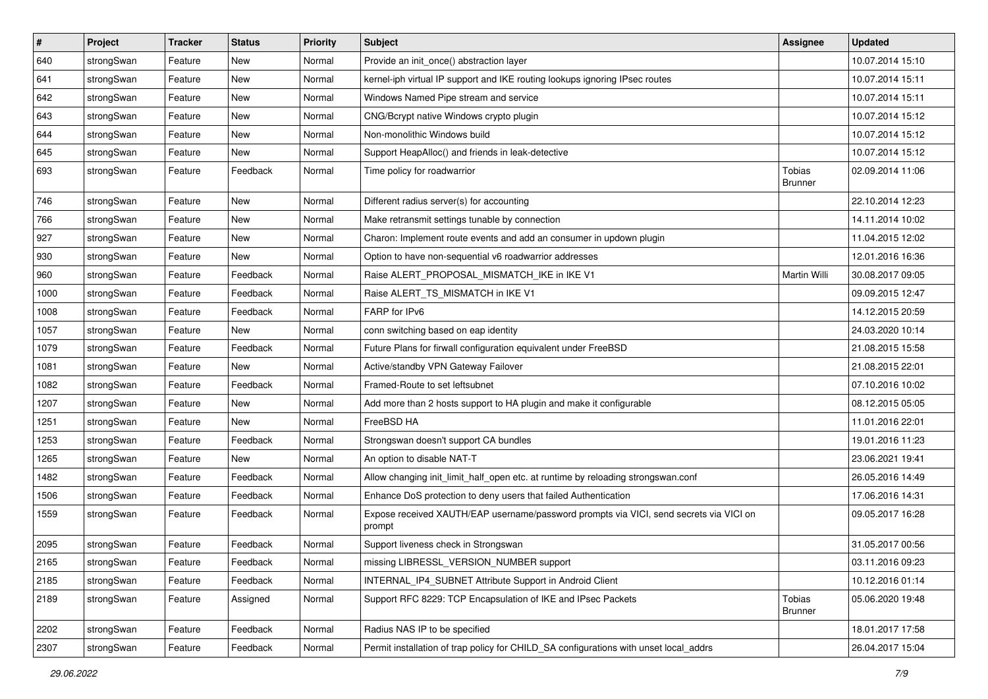| $\vert$ # | Project    | <b>Tracker</b> | <b>Status</b> | <b>Priority</b> | <b>Subject</b>                                                                                   | <b>Assignee</b>          | <b>Updated</b>   |
|-----------|------------|----------------|---------------|-----------------|--------------------------------------------------------------------------------------------------|--------------------------|------------------|
| 640       | strongSwan | Feature        | New           | Normal          | Provide an init_once() abstraction layer                                                         |                          | 10.07.2014 15:10 |
| 641       | strongSwan | Feature        | <b>New</b>    | Normal          | kernel-iph virtual IP support and IKE routing lookups ignoring IPsec routes                      |                          | 10.07.2014 15:11 |
| 642       | strongSwan | Feature        | <b>New</b>    | Normal          | Windows Named Pipe stream and service                                                            |                          | 10.07.2014 15:11 |
| 643       | strongSwan | Feature        | New           | Normal          | CNG/Bcrypt native Windows crypto plugin                                                          |                          | 10.07.2014 15:12 |
| 644       | strongSwan | Feature        | New           | Normal          | Non-monolithic Windows build                                                                     |                          | 10.07.2014 15:12 |
| 645       | strongSwan | Feature        | New           | Normal          | Support HeapAlloc() and friends in leak-detective                                                |                          | 10.07.2014 15:12 |
| 693       | strongSwan | Feature        | Feedback      | Normal          | Time policy for roadwarrior                                                                      | Tobias<br>Brunner        | 02.09.2014 11:06 |
| 746       | strongSwan | Feature        | New           | Normal          | Different radius server(s) for accounting                                                        |                          | 22.10.2014 12:23 |
| 766       | strongSwan | Feature        | <b>New</b>    | Normal          | Make retransmit settings tunable by connection                                                   |                          | 14.11.2014 10:02 |
| 927       | strongSwan | Feature        | <b>New</b>    | Normal          | Charon: Implement route events and add an consumer in updown plugin                              |                          | 11.04.2015 12:02 |
| 930       | strongSwan | Feature        | New           | Normal          | Option to have non-sequential v6 roadwarrior addresses                                           |                          | 12.01.2016 16:36 |
| 960       | strongSwan | Feature        | Feedback      | Normal          | Raise ALERT_PROPOSAL_MISMATCH_IKE in IKE V1                                                      | Martin Willi             | 30.08.2017 09:05 |
| 1000      | strongSwan | Feature        | Feedback      | Normal          | Raise ALERT_TS_MISMATCH in IKE V1                                                                |                          | 09.09.2015 12:47 |
| 1008      | strongSwan | Feature        | Feedback      | Normal          | FARP for IPv6                                                                                    |                          | 14.12.2015 20:59 |
| 1057      | strongSwan | Feature        | New           | Normal          | conn switching based on eap identity                                                             |                          | 24.03.2020 10:14 |
| 1079      | strongSwan | Feature        | Feedback      | Normal          | Future Plans for firwall configuration equivalent under FreeBSD                                  |                          | 21.08.2015 15:58 |
| 1081      | strongSwan | Feature        | New           | Normal          | Active/standby VPN Gateway Failover                                                              |                          | 21.08.2015 22:01 |
| 1082      | strongSwan | Feature        | Feedback      | Normal          | Framed-Route to set leftsubnet                                                                   |                          | 07.10.2016 10:02 |
| 1207      | strongSwan | Feature        | New           | Normal          | Add more than 2 hosts support to HA plugin and make it configurable                              |                          | 08.12.2015 05:05 |
| 1251      | strongSwan | Feature        | New           | Normal          | FreeBSD HA                                                                                       |                          | 11.01.2016 22:01 |
| 1253      | strongSwan | Feature        | Feedback      | Normal          | Strongswan doesn't support CA bundles                                                            |                          | 19.01.2016 11:23 |
| 1265      | strongSwan | Feature        | New           | Normal          | An option to disable NAT-T                                                                       |                          | 23.06.2021 19:41 |
| 1482      | strongSwan | Feature        | Feedback      | Normal          | Allow changing init_limit_half_open etc. at runtime by reloading strongswan.conf                 |                          | 26.05.2016 14:49 |
| 1506      | strongSwan | Feature        | Feedback      | Normal          | Enhance DoS protection to deny users that failed Authentication                                  |                          | 17.06.2016 14:31 |
| 1559      | strongSwan | Feature        | Feedback      | Normal          | Expose received XAUTH/EAP username/password prompts via VICI, send secrets via VICI on<br>prompt |                          | 09.05.2017 16:28 |
| 2095      | strongSwan | Feature        | Feedback      | Normal          | Support liveness check in Strongswan                                                             |                          | 31.05.2017 00:56 |
| 2165      | strongSwan | Feature        | Feedback      | Normal          | missing LIBRESSL_VERSION_NUMBER support                                                          |                          | 03.11.2016 09:23 |
| 2185      | strongSwan | Feature        | Feedback      | Normal          | INTERNAL_IP4_SUBNET Attribute Support in Android Client                                          |                          | 10.12.2016 01:14 |
| 2189      | strongSwan | Feature        | Assigned      | Normal          | Support RFC 8229: TCP Encapsulation of IKE and IPsec Packets                                     | Tobias<br><b>Brunner</b> | 05.06.2020 19:48 |
| 2202      | strongSwan | Feature        | Feedback      | Normal          | Radius NAS IP to be specified                                                                    |                          | 18.01.2017 17:58 |
| 2307      | strongSwan | Feature        | Feedback      | Normal          | Permit installation of trap policy for CHILD_SA configurations with unset local_addrs            |                          | 26.04.2017 15:04 |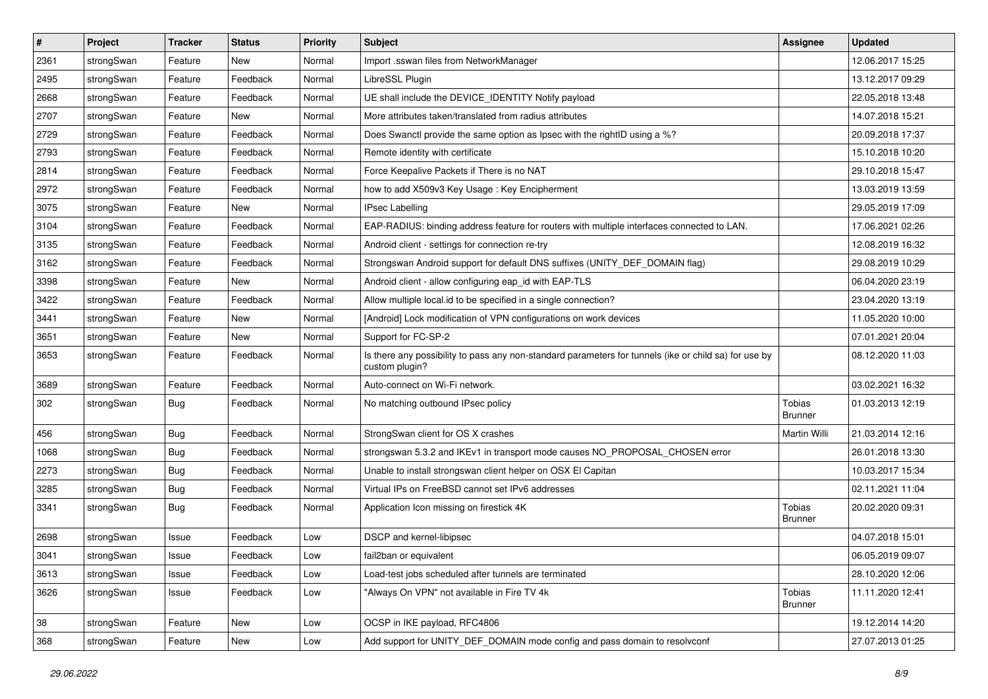| $\pmb{\#}$ | Project    | <b>Tracker</b> | <b>Status</b> | <b>Priority</b> | <b>Subject</b>                                                                                                          | <b>Assignee</b>                 | <b>Updated</b>   |
|------------|------------|----------------|---------------|-----------------|-------------------------------------------------------------------------------------------------------------------------|---------------------------------|------------------|
| 2361       | strongSwan | Feature        | New           | Normal          | Import .sswan files from NetworkManager                                                                                 |                                 | 12.06.2017 15:25 |
| 2495       | strongSwan | Feature        | Feedback      | Normal          | LibreSSL Plugin                                                                                                         |                                 | 13.12.2017 09:29 |
| 2668       | strongSwan | Feature        | Feedback      | Normal          | UE shall include the DEVICE IDENTITY Notify payload                                                                     |                                 | 22.05.2018 13:48 |
| 2707       | strongSwan | Feature        | New           | Normal          | More attributes taken/translated from radius attributes                                                                 |                                 | 14.07.2018 15:21 |
| 2729       | strongSwan | Feature        | Feedback      | Normal          | Does Swanctl provide the same option as Ipsec with the rightID using a %?                                               |                                 | 20.09.2018 17:37 |
| 2793       | strongSwan | Feature        | Feedback      | Normal          | Remote identity with certificate                                                                                        |                                 | 15.10.2018 10:20 |
| 2814       | strongSwan | Feature        | Feedback      | Normal          | Force Keepalive Packets if There is no NAT                                                                              |                                 | 29.10.2018 15:47 |
| 2972       | strongSwan | Feature        | Feedback      | Normal          | how to add X509v3 Key Usage: Key Encipherment                                                                           |                                 | 13.03.2019 13:59 |
| 3075       | strongSwan | Feature        | New           | Normal          | <b>IPsec Labelling</b>                                                                                                  |                                 | 29.05.2019 17:09 |
| 3104       | strongSwan | Feature        | Feedback      | Normal          | EAP-RADIUS: binding address feature for routers with multiple interfaces connected to LAN.                              |                                 | 17.06.2021 02:26 |
| 3135       | strongSwan | Feature        | Feedback      | Normal          | Android client - settings for connection re-try                                                                         |                                 | 12.08.2019 16:32 |
| 3162       | strongSwan | Feature        | Feedback      | Normal          | Strongswan Android support for default DNS suffixes (UNITY_DEF_DOMAIN flag)                                             |                                 | 29.08.2019 10:29 |
| 3398       | strongSwan | Feature        | New           | Normal          | Android client - allow configuring eap_id with EAP-TLS                                                                  |                                 | 06.04.2020 23:19 |
| 3422       | strongSwan | Feature        | Feedback      | Normal          | Allow multiple local.id to be specified in a single connection?                                                         |                                 | 23.04.2020 13:19 |
| 3441       | strongSwan | Feature        | New           | Normal          | [Android] Lock modification of VPN configurations on work devices                                                       |                                 | 11.05.2020 10:00 |
| 3651       | strongSwan | Feature        | New           | Normal          | Support for FC-SP-2                                                                                                     |                                 | 07.01.2021 20:04 |
| 3653       | strongSwan | Feature        | Feedback      | Normal          | Is there any possibility to pass any non-standard parameters for tunnels (ike or child sa) for use by<br>custom plugin? |                                 | 08.12.2020 11:03 |
| 3689       | strongSwan | Feature        | Feedback      | Normal          | Auto-connect on Wi-Fi network.                                                                                          |                                 | 03.02.2021 16:32 |
| 302        | strongSwan | <b>Bug</b>     | Feedback      | Normal          | No matching outbound IPsec policy                                                                                       | <b>Tobias</b><br><b>Brunner</b> | 01.03.2013 12:19 |
| 456        | strongSwan | <b>Bug</b>     | Feedback      | Normal          | StrongSwan client for OS X crashes                                                                                      | Martin Willi                    | 21.03.2014 12:16 |
| 1068       | strongSwan | <b>Bug</b>     | Feedback      | Normal          | strongswan 5.3.2 and IKEv1 in transport mode causes NO_PROPOSAL_CHOSEN error                                            |                                 | 26.01.2018 13:30 |
| 2273       | strongSwan | Bug            | Feedback      | Normal          | Unable to install strongswan client helper on OSX El Capitan                                                            |                                 | 10.03.2017 15:34 |
| 3285       | strongSwan | <b>Bug</b>     | Feedback      | Normal          | Virtual IPs on FreeBSD cannot set IPv6 addresses                                                                        |                                 | 02.11.2021 11:04 |
| 3341       | strongSwan | <b>Bug</b>     | Feedback      | Normal          | Application Icon missing on firestick 4K                                                                                | Tobias<br><b>Brunner</b>        | 20.02.2020 09:31 |
| 2698       | strongSwan | Issue          | Feedback      | Low             | DSCP and kernel-libipsec                                                                                                |                                 | 04.07.2018 15:01 |
| 3041       | strongSwan | Issue          | Feedback      | Low             | fail2ban or equivalent                                                                                                  |                                 | 06.05.2019 09:07 |
| 3613       | strongSwan | Issue          | Feedback      | Low             | Load-test jobs scheduled after tunnels are terminated                                                                   |                                 | 28.10.2020 12:06 |
| 3626       | strongSwan | Issue          | Feedback      | Low             | "Always On VPN" not available in Fire TV 4k                                                                             | Tobias<br><b>Brunner</b>        | 11.11.2020 12:41 |
| 38         | strongSwan | Feature        | New           | Low             | OCSP in IKE payload, RFC4806                                                                                            |                                 | 19.12.2014 14:20 |
| 368        | strongSwan | Feature        | New           | Low             | Add support for UNITY_DEF_DOMAIN mode config and pass domain to resolvconf                                              |                                 | 27.07.2013 01:25 |